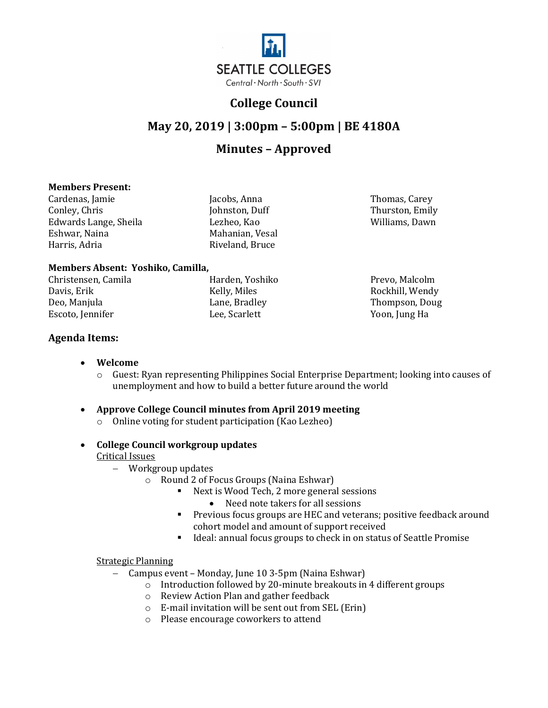

## **College Council**

# **May 20, 2019 | 3:00pm – 5:00pm | BE 4180A**

## **Minutes – Approved**

### **Members Present:**

Cardenas, Jamie Jacobs, Anna Thomas, Carey Conley, Chris Johnston, Duff Thurston, Emily Edwards Lange, Sheila<br>Eshwar, Naina Eshwar, Naina **Mahanian, Vesal**<br>Harris, Adria Mahanian, Nesal

Riveland, Bruce

**Members Absent: Yoshiko, Camilla,** 

Christensen, Camila Harden, Yoshiko Prevo, Malcolm Davis, Erik Kelly, Miles Rockhill, Wendy Escoto, Jennifer

**Agenda Items:** 

- **Welcome**
	- o Guest: Ryan representing Philippines Social Enterprise Department; looking into causes of unemployment and how to build a better future around the world

Deo, Manjula Lane, Bradley Thompson, Doug

- **Approve College Council minutes from April 2019 meeting**
	- o Online voting for student participation (Kao Lezheo)
- **College Council workgroup updates**

### Critical Issues

- − Workgroup updates
	- o Round 2 of Focus Groups (Naina Eshwar)
		- Next is Wood Tech, 2 more general sessions
			- Need note takers for all sessions
		- **Previous focus groups are HEC and veterans; positive feedback around** cohort model and amount of support received
		- Ideal: annual focus groups to check in on status of Seattle Promise

### Strategic Planning

- − Campus event Monday, June 10 3-5pm (Naina Eshwar)
	- o Introduction followed by 20-minute breakouts in 4 different groups
	- o Review Action Plan and gather feedback
	- o E-mail invitation will be sent out from SEL (Erin)
	- o Please encourage coworkers to attend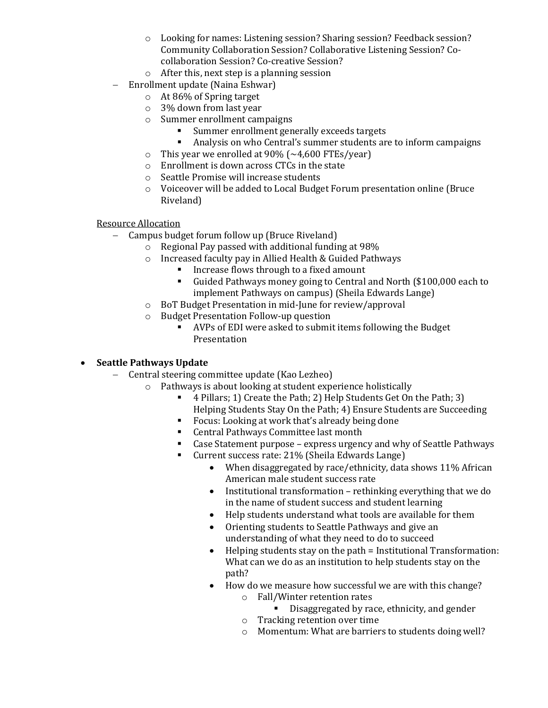- o Looking for names: Listening session? Sharing session? Feedback session? Community Collaboration Session? Collaborative Listening Session? Cocollaboration Session? Co-creative Session?
- o After this, next step is a planning session
- − Enrollment update (Naina Eshwar)
	- o At 86% of Spring target
	- o 3% down from last year
	- o Summer enrollment campaigns
		- Summer enrollment generally exceeds targets<br>Analysis on who Central's summer students are
		- Analysis on who Central's summer students are to inform campaigns
	- This year we enrolled at 90% ( $\sim$ 4,600 FTEs/year)<br>○ Enrollment is down across CTCs in the state
	- Enrollment is down across CTCs in the state
	- o Seattle Promise will increase students
	- o Voiceover will be added to Local Budget Forum presentation online (Bruce Riveland)

#### Resource Allocation

- − Campus budget forum follow up (Bruce Riveland)
	- o Regional Pay passed with additional funding at 98%
	- o Increased faculty pay in Allied Health & Guided Pathways
		- Increase flows through to a fixed amount<br>In Guided Pathways money going to Central
		- Guided Pathways money going to Central and North (\$100,000 each to implement Pathways on campus) (Sheila Edwards Lange)
	- o BoT Budget Presentation in mid-June for review/approval
	- o Budget Presentation Follow-up question
		- AVPs of EDI were asked to submit items following the Budget Presentation

### • **Seattle Pathways Update**

- − Central steering committee update (Kao Lezheo)
	- o Pathways is about looking at student experience holistically
		- 4 Pillars; 1) Create the Path; 2) Help Students Get On the Path; 3) Helping Students Stay On the Path; 4) Ensure Students are Succeeding
		- Focus: Looking at work that's already being done<br>■ Central Pathways Committee last month
		- Central Pathways Committee last month
		- Case Statement purpose express urgency and why of Seattle Pathways<br>Current success rate: 21% (Sheila Edwards Lange)
			- Current success rate: 21% (Sheila Edwards Lange)
				- When disaggregated by race/ethnicity, data shows 11% African American male student success rate
				- Institutional transformation rethinking everything that we do in the name of student success and student learning
				- Help students understand what tools are available for them
				- Orienting students to Seattle Pathways and give an understanding of what they need to do to succeed
				- Helping students stay on the path = Institutional Transformation: What can we do as an institution to help students stay on the path?
				- How do we measure how successful we are with this change?
					- o Fall/Winter retention rates
						- Disaggregated by race, ethnicity, and gender
					- o Tracking retention over time
					- o Momentum: What are barriers to students doing well?